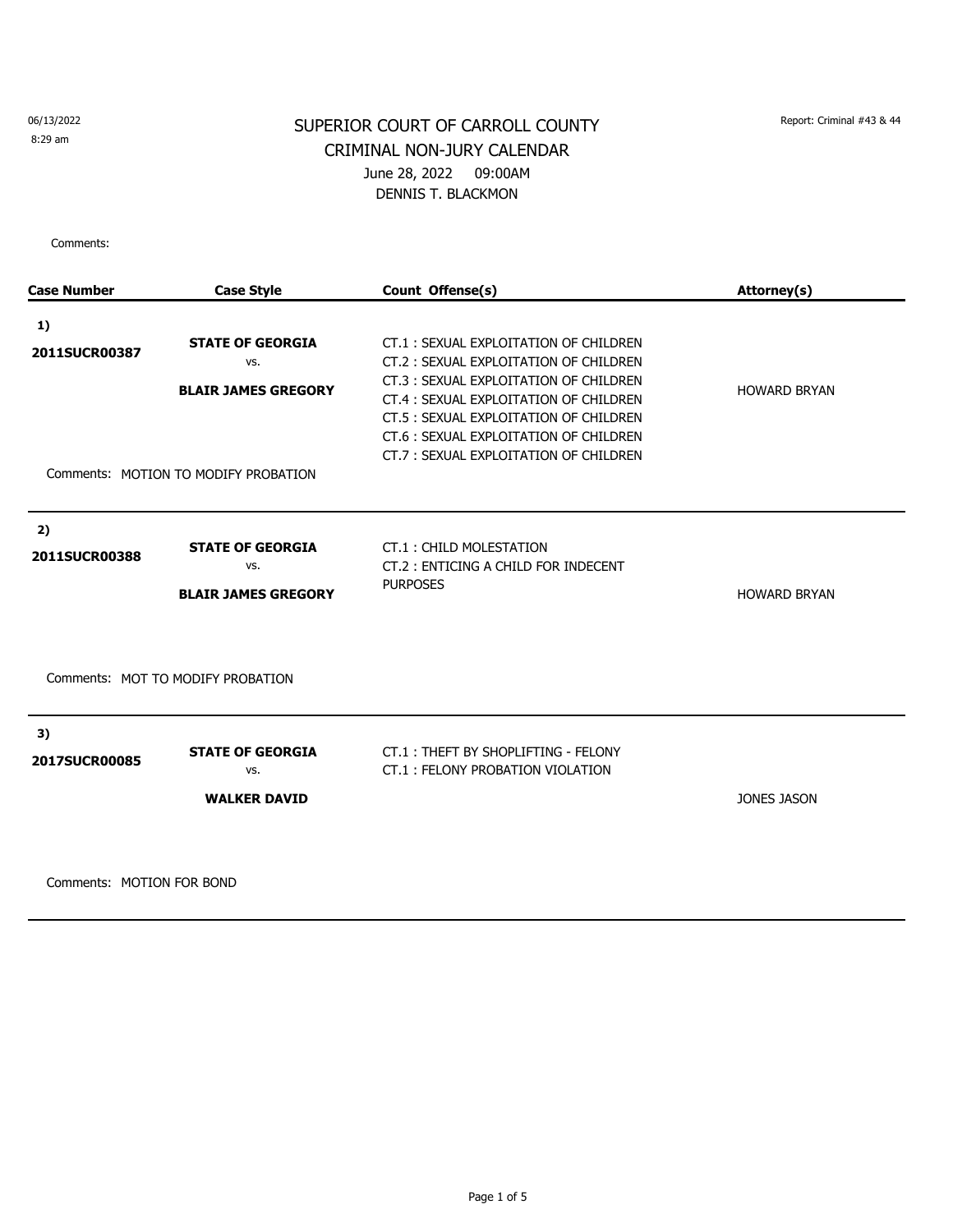8:29 am

# SUPERIOR COURT OF CARROLL COUNTY Report: Criminal #43 & 44 CRIMINAL NON-JURY CALENDAR June 28, 2022 09:00AM DENNIS T. BLACKMON

Comments:

| <b>Case Number</b>         | <b>Case Style</b>                                                                                    | Count Offense(s)                                                                                                                                                                                                                                                                              | Attorney(s)         |
|----------------------------|------------------------------------------------------------------------------------------------------|-----------------------------------------------------------------------------------------------------------------------------------------------------------------------------------------------------------------------------------------------------------------------------------------------|---------------------|
| 1)<br>2011SUCR00387        | <b>STATE OF GEORGIA</b><br>VS.<br><b>BLAIR JAMES GREGORY</b><br>Comments: MOTION TO MODIFY PROBATION | CT.1: SEXUAL EXPLOITATION OF CHILDREN<br>CT.2: SEXUAL EXPLOITATION OF CHILDREN<br>CT.3: SEXUAL EXPLOITATION OF CHILDREN<br>CT.4 : SEXUAL EXPLOITATION OF CHILDREN<br>CT.5 : SEXUAL EXPLOITATION OF CHILDREN<br>CT.6: SEXUAL EXPLOITATION OF CHILDREN<br>CT.7: SEXUAL EXPLOITATION OF CHILDREN | <b>HOWARD BRYAN</b> |
| 2)<br>2011SUCR00388        | <b>STATE OF GEORGIA</b><br>VS.<br><b>BLAIR JAMES GREGORY</b>                                         | CT.1: CHILD MOLESTATION<br>CT.2: ENTICING A CHILD FOR INDECENT<br><b>PURPOSES</b>                                                                                                                                                                                                             | <b>HOWARD BRYAN</b> |
|                            | Comments: MOT TO MODIFY PROBATION                                                                    |                                                                                                                                                                                                                                                                                               |                     |
| 3)<br><b>2017SUCR00085</b> | <b>STATE OF GEORGIA</b><br>VS.<br><b>WALKER DAVID</b>                                                | CT.1: THEFT BY SHOPLIFTING - FELONY<br>CT.1: FELONY PROBATION VIOLATION                                                                                                                                                                                                                       | <b>JONES JASON</b>  |

Comments: MOTION FOR BOND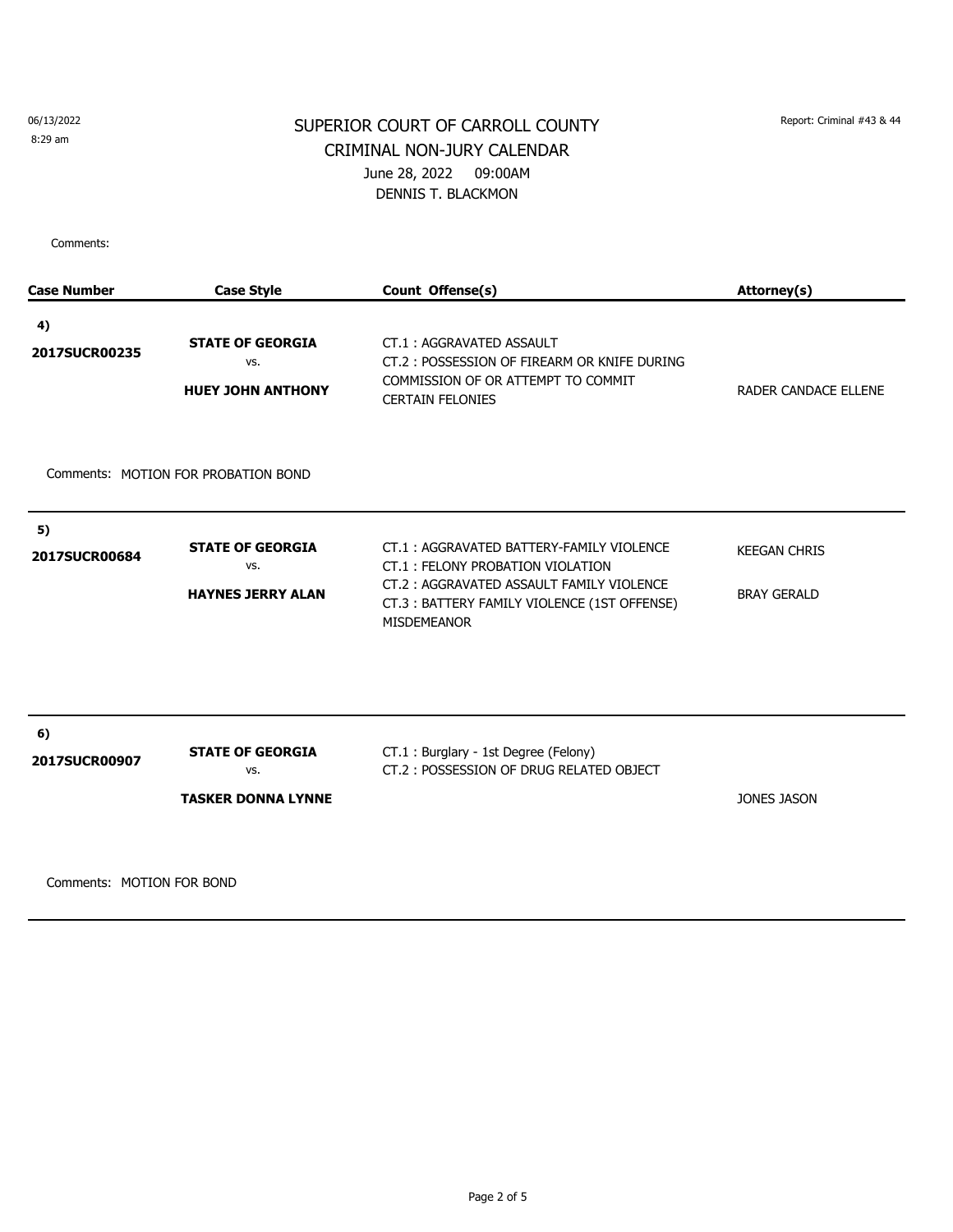8:29 am

# SUPERIOR COURT OF CARROLL COUNTY Report: Criminal #43 & 44 CRIMINAL NON-JURY CALENDAR June 28, 2022 09:00AM DENNIS T. BLACKMON

Comments:

| <b>Case Number</b>  | <b>Case Style</b>                                           | Count Offense(s)                                                                                                                                                                              | Attorney(s)                               |
|---------------------|-------------------------------------------------------------|-----------------------------------------------------------------------------------------------------------------------------------------------------------------------------------------------|-------------------------------------------|
| 4)<br>2017SUCR00235 | <b>STATE OF GEORGIA</b><br>VS.<br><b>HUEY JOHN ANTHONY</b>  | CT.1: AGGRAVATED ASSAULT<br>CT.2: POSSESSION OF FIREARM OR KNIFE DURING<br>COMMISSION OF OR ATTEMPT TO COMMIT<br><b>CERTAIN FELONIES</b>                                                      | RADER CANDACE ELLENE                      |
|                     | Comments: MOTION FOR PROBATION BOND                         |                                                                                                                                                                                               |                                           |
| 5)<br>2017SUCR00684 | <b>STATE OF GEORGIA</b><br>VS.<br><b>HAYNES JERRY ALAN</b>  | CT.1: AGGRAVATED BATTERY-FAMILY VIOLENCE<br>CT.1: FELONY PROBATION VIOLATION<br>CT.2: AGGRAVATED ASSAULT FAMILY VIOLENCE<br>CT.3: BATTERY FAMILY VIOLENCE (1ST OFFENSE)<br><b>MISDEMEANOR</b> | <b>KEEGAN CHRIS</b><br><b>BRAY GERALD</b> |
| 6)<br>2017SUCR00907 | <b>STATE OF GEORGIA</b><br>VS.<br><b>TASKER DONNA LYNNE</b> | CT.1 : Burglary - 1st Degree (Felony)<br>CT.2: POSSESSION OF DRUG RELATED OBJECT                                                                                                              | <b>JONES JASON</b>                        |

Comments: MOTION FOR BOND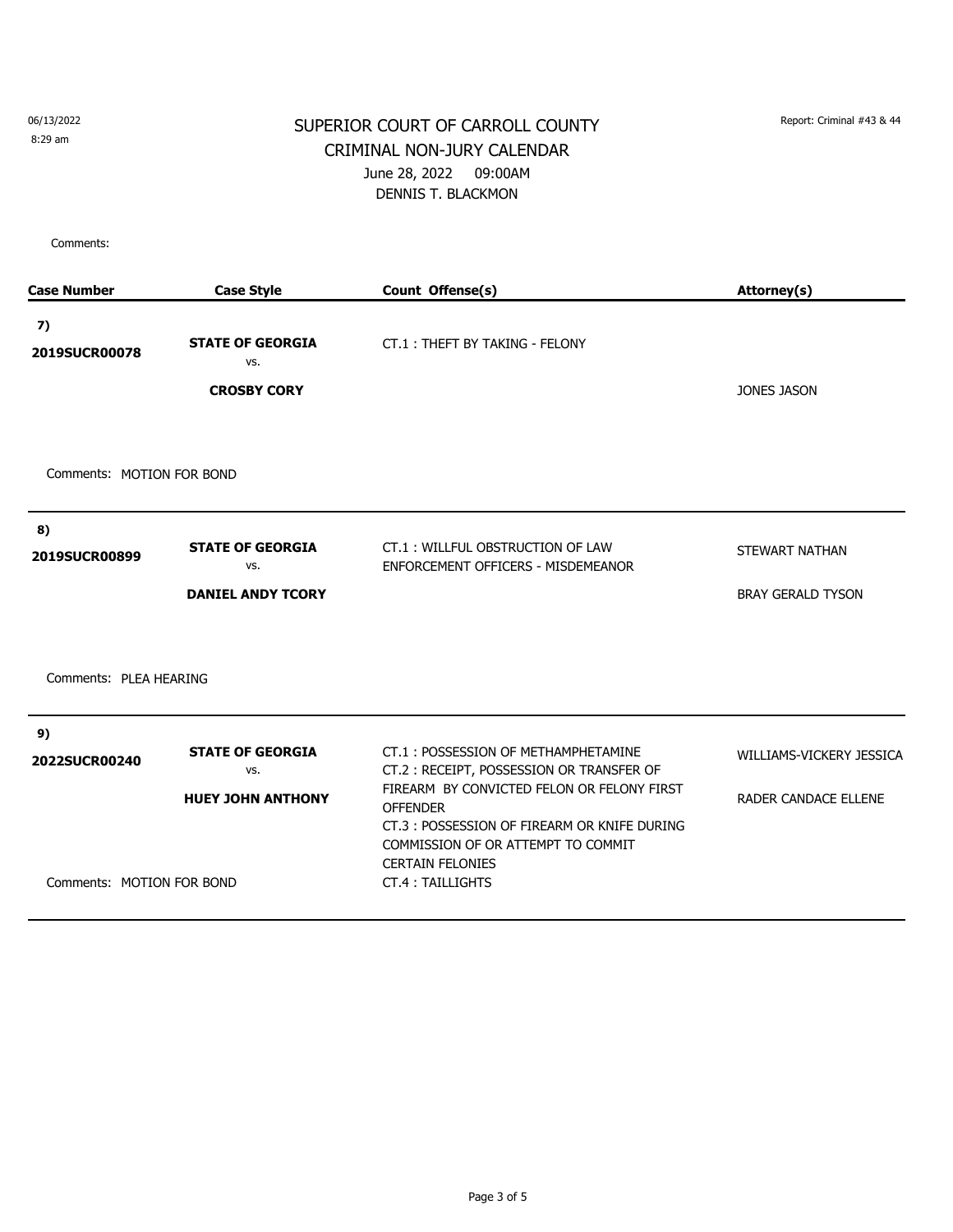06/13/2022 8:29 am

#### SUPERIOR COURT OF CARROLL COUNTY Report: Criminal #43 & 44 CRIMINAL NON-JURY CALENDAR June 28, 2022 09:00AM DENNIS T. BLACKMON

Comments:

| <b>Case Number</b>        | <b>Case Style</b>                                    | Count Offense(s)                                                                                                                                                                                  | Attorney(s)              |
|---------------------------|------------------------------------------------------|---------------------------------------------------------------------------------------------------------------------------------------------------------------------------------------------------|--------------------------|
| 7)<br>2019SUCR00078       | <b>STATE OF GEORGIA</b><br>VS.<br><b>CROSBY CORY</b> | CT.1: THEFT BY TAKING - FELONY                                                                                                                                                                    | <b>JONES JASON</b>       |
|                           |                                                      |                                                                                                                                                                                                   |                          |
| Comments: MOTION FOR BOND |                                                      |                                                                                                                                                                                                   |                          |
| 8)                        |                                                      |                                                                                                                                                                                                   |                          |
| 2019SUCR00899             | <b>STATE OF GEORGIA</b><br>VS.                       | CT.1: WILLFUL OBSTRUCTION OF LAW<br>ENFORCEMENT OFFICERS - MISDEMEANOR                                                                                                                            | STEWART NATHAN           |
|                           | <b>DANIEL ANDY TCORY</b>                             |                                                                                                                                                                                                   | <b>BRAY GERALD TYSON</b> |
| Comments: PLEA HEARING    |                                                      |                                                                                                                                                                                                   |                          |
| 9)                        |                                                      |                                                                                                                                                                                                   |                          |
| 2022SUCR00240             | <b>STATE OF GEORGIA</b><br>VS.                       | CT.1: POSSESSION OF METHAMPHETAMINE<br>CT.2: RECEIPT, POSSESSION OR TRANSFER OF                                                                                                                   | WILLIAMS-VICKERY JESSICA |
| Comments: MOTION FOR BOND | <b>HUEY JOHN ANTHONY</b>                             | FIREARM BY CONVICTED FELON OR FELONY FIRST<br><b>OFFENDER</b><br>CT.3: POSSESSION OF FIREARM OR KNIFE DURING<br>COMMISSION OF OR ATTEMPT TO COMMIT<br><b>CERTAIN FELONIES</b><br>CT.4: TAILLIGHTS | RADER CANDACE ELLENE     |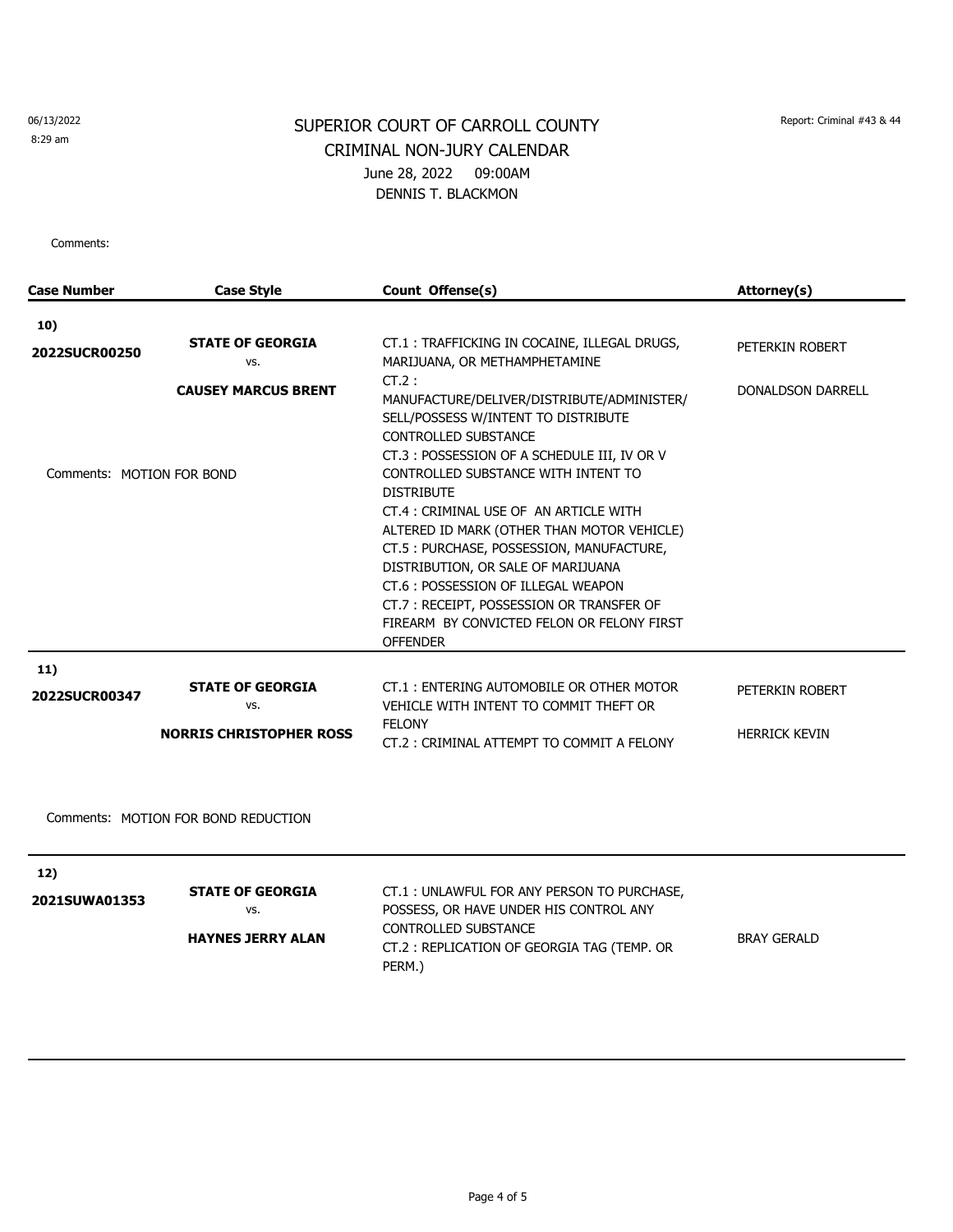8:29 am

# SUPERIOR COURT OF CARROLL COUNTY Report: Criminal #43 & 44 CRIMINAL NON-JURY CALENDAR June 28, 2022 09:00AM DENNIS T. BLACKMON

Comments:

| <b>Case Number</b>        | <b>Case Style</b>                   | Count Offense(s)                                                                                                                                                                                                                                                                                                                                                                                                                                                                                                                                                     | Attorney(s)              |
|---------------------------|-------------------------------------|----------------------------------------------------------------------------------------------------------------------------------------------------------------------------------------------------------------------------------------------------------------------------------------------------------------------------------------------------------------------------------------------------------------------------------------------------------------------------------------------------------------------------------------------------------------------|--------------------------|
| 10)                       |                                     |                                                                                                                                                                                                                                                                                                                                                                                                                                                                                                                                                                      |                          |
| 2022SUCR00250             | <b>STATE OF GEORGIA</b><br>VS.      | CT.1: TRAFFICKING IN COCAINE, ILLEGAL DRUGS,<br>MARIJUANA, OR METHAMPHETAMINE                                                                                                                                                                                                                                                                                                                                                                                                                                                                                        | PETERKIN ROBERT          |
| Comments: MOTION FOR BOND | <b>CAUSEY MARCUS BRENT</b>          | $CT.2$ :<br>MANUFACTURE/DELIVER/DISTRIBUTE/ADMINISTER/<br>SELL/POSSESS W/INTENT TO DISTRIBUTE<br><b>CONTROLLED SUBSTANCE</b><br>CT.3: POSSESSION OF A SCHEDULE III, IV OR V<br>CONTROLLED SUBSTANCE WITH INTENT TO<br><b>DISTRIBUTE</b><br>CT.4 : CRIMINAL USE OF AN ARTICLE WITH<br>ALTERED ID MARK (OTHER THAN MOTOR VEHICLE)<br>CT.5: PURCHASE, POSSESSION, MANUFACTURE,<br>DISTRIBUTION, OR SALE OF MARIJUANA<br>CT.6: POSSESSION OF ILLEGAL WEAPON<br>CT.7: RECEIPT, POSSESSION OR TRANSFER OF<br>FIREARM BY CONVICTED FELON OR FELONY FIRST<br><b>OFFENDER</b> | <b>DONALDSON DARRELL</b> |
| 11)                       |                                     |                                                                                                                                                                                                                                                                                                                                                                                                                                                                                                                                                                      |                          |
| 2022SUCR00347             | <b>STATE OF GEORGIA</b><br>VS.      | CT.1: ENTERING AUTOMOBILE OR OTHER MOTOR<br>VEHICLE WITH INTENT TO COMMIT THEFT OR                                                                                                                                                                                                                                                                                                                                                                                                                                                                                   | PETERKIN ROBERT          |
|                           | <b>NORRIS CHRISTOPHER ROSS</b>      | <b>FELONY</b><br>CT.2: CRIMINAL ATTEMPT TO COMMIT A FELONY                                                                                                                                                                                                                                                                                                                                                                                                                                                                                                           | <b>HERRICK KEVIN</b>     |
|                           | Comments: MOTION FOR BOND REDUCTION |                                                                                                                                                                                                                                                                                                                                                                                                                                                                                                                                                                      |                          |
| 12)                       | CTATE AE CEADCIA                    | $CT 1$ . UNILAWELLE OD ANY DEDCON TO DUDCHACE                                                                                                                                                                                                                                                                                                                                                                                                                                                                                                                        |                          |

|               | <b>STATE OF GEORGIA</b>  | CT.1: UNLAWFUL FOR ANY PERSON TO PURCHASE, |                    |
|---------------|--------------------------|--------------------------------------------|--------------------|
| 2021SUWA01353 | vs.                      | POSSESS, OR HAVE UNDER HIS CONTROL ANY     |                    |
|               | <b>HAYNES JERRY ALAN</b> | CONTROLLED SUBSTANCE                       | <b>BRAY GERALD</b> |
|               |                          | CT.2: REPLICATION OF GEORGIA TAG (TEMP. OR |                    |
|               |                          | PERM.)                                     |                    |